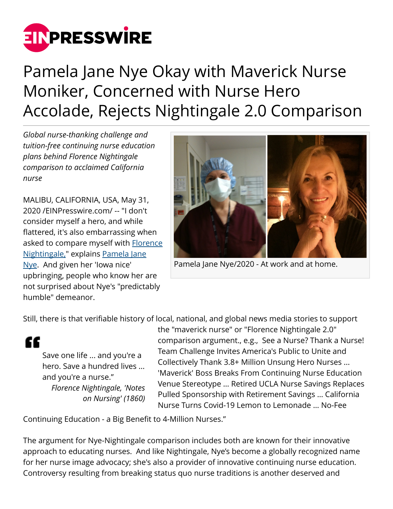

## Pamela Jane Nye Okay with Maverick Nurse Moniker, Concerned with Nurse Hero Accolade, Rejects Nightingale 2.0 Comparison

*Global nurse-thanking challenge and tuition-free continuing nurse education plans behind Florence Nightingale comparison to acclaimed California nurse*

MALIBU, CALIFORNIA, USA, May 31, 2020 /[EINPresswire.com](http://www.einpresswire.com)/ -- "I don't consider myself a hero, and while flattered, it's also embarrassing when asked to compare myself with **[Florence](https://www.biography.com/scientist/florence-nightingale)** [Nightingale,"](https://www.biography.com/scientist/florence-nightingale) explains [Pamela Jane](https://operationscrubs.org/files/Documents/PAMDOCUMENTS/Pamela_Nye_2020_CV_Plus_Bio.pdf) [Nye.](https://operationscrubs.org/files/Documents/PAMDOCUMENTS/Pamela_Nye_2020_CV_Plus_Bio.pdf) And given her 'Iowa nice' upbringing, people who know her are not surprised about Nye's "predictably humble" demeanor.



Pamela Jane Nye/2020 - At work and at home.

Still, there is that verifiable history of local, national, and global news media stories to support

" Save one life ... and you're a hero. Save a hundred lives ... and you're a nurse." *Florence Nightingale, 'Notes on Nursing' (1860)* the "maverick nurse" or "Florence Nightingale 2.0" comparison argument., e.g., See a Nurse? Thank a Nurse! Team Challenge Invites America's Public to Unite and Collectively Thank 3.8+ Million Unsung Hero Nurses ... 'Maverick' Boss Breaks From Continuing Nurse Education Venue Stereotype … Retired UCLA Nurse Savings Replaces Pulled Sponsorship with Retirement Savings … California Nurse Turns Covid-19 Lemon to Lemonade … No-Fee

Continuing Education - a Big Benefit to 4-Million Nurses."

The argument for Nye-Nightingale comparison includes both are known for their innovative approach to educating nurses. And like Nightingale, Nye's become a globally recognized name for her nurse image advocacy; she's also a provider of innovative continuing nurse education. Controversy resulting from breaking status quo nurse traditions is another deserved and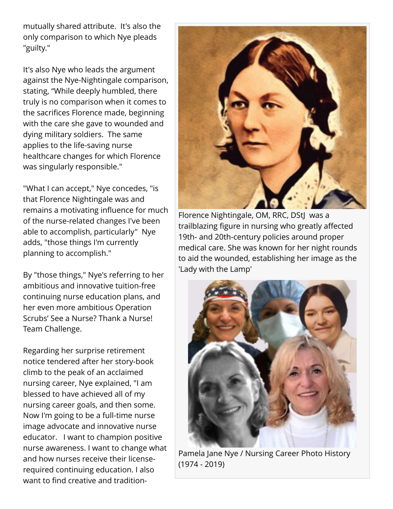mutually shared attribute. It's also the only comparison to which Nye pleads "guilty."

It's also Nye who leads the argument against the Nye-Nightingale comparison, stating, "While deeply humbled, there truly is no comparison when it comes to the sacrifices Florence made, beginning with the care she gave to wounded and dying military soldiers. The same applies to the life-saving nurse healthcare changes for which Florence was singularly responsible."

"What I can accept," Nye concedes, "is that Florence Nightingale was and remains a motivating influence for much of the nurse-related changes I've been able to accomplish, particularly" Nye adds, "those things I'm currently planning to accomplish."

By "those things," Nye's referring to her ambitious and innovative tuition-free continuing nurse education plans, and her even more ambitious Operation Scrubs' See a Nurse? Thank a Nurse! Team Challenge.

Regarding her surprise retirement notice tendered after her story-book climb to the peak of an acclaimed nursing career, Nye explained, "I am blessed to have achieved all of my nursing career goals, and then some. Now I'm going to be a full-time nurse image advocate and innovative nurse educator. I want to champion positive nurse awareness. I want to change what and how nurses receive their licenserequired continuing education. I also want to find creative and tradition-



Florence Nightingale, OM, RRC, DStJ was a trailblazing figure in nursing who greatly affected 19th- and 20th-century policies around proper medical care. She was known for her night rounds to aid the wounded, establishing her image as the 'Lady with the Lamp'



Pamela Jane Nye / Nursing Career Photo History (1974 - 2019)